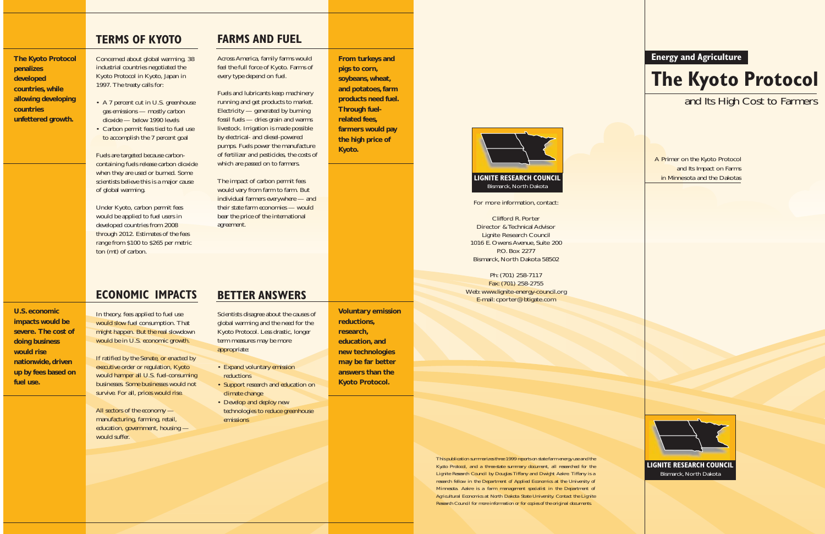**Energy and Agriculture**

# **The Kyoto Protocol**

### and Its High Cost to Farmers

A Primer on the Kyoto Protocol and Its Impact on Farms in Minnesota and the Dakotas



**LIGNITE RESEARCH COUNCIL** Bismarck, North Dakota

For more information, contact:

Clifford R. Porter Director & Technical Advisor Lignite Research Council 1016 E. Owens Avenue, Suite 200 P.O. Box 2277 Bismarck, North Dakota 58502

Ph: (701) 258-7117 Fax: (701) 258-2755 Web: www.lignite-energy-council.org E-mail: cporter@btigate.com

*This publication summarizes three 1999 reports on state farm energy use and the Kyoto Protocol, and a three-state summary document, all researched for the Lignite Research Council by Douglas Tiffany and Dwight Aakre. Tiffany is a research fellow in the Department of Applied Economics at the University of Minnesota. Aakre is a farm management specialist in the Department of Agricultural Economics at North Dakota State University. Contact the Lignite Research Council for more information or for copies of the original documents.*



### **FARMS AND FUEL**

Across America, family farms would feel the full force of Kyoto. Farms of every type depend on fuel.

Fuels and lubricants keep machinery running and get products to market. Electricity — generated by burning fossil fuels — dries grain and warms livestock. Irrigation is made possible by electrical- and diesel-powered pumps. Fuels power the manufacture of fertilizer and pesticides, the costs of which are passed on to farmers.

If ratified by the Senate, or enacted by executive order or regulation, Kyoto would hamper all U.S. fuel-consuming businesses. Some businesses would not survive. For all, prices would rise.

The impact of carbon permit fees would vary from farm to farm. But individual farmers everywhere — and their state farm economies — would bear the price of the international agreement.

### **BETTER ANSWERS**

Scientists disagree about the causes of global warming and the need for the Kyoto Protocol. Less drastic, longer term measures may be more appropriate:

- Expand voluntary emission reductions
- Support research and education on climate change
- Develop and deploy new technologies to reduce greenhouse emissions

**From turkeys and pigs to corn, soybeans, wheat, and potatoes, farm products need fuel. Through fuelrelated fees, farmers would pay the high price of Kyoto.**

**Voluntary emission reductions, research, education, and new technologies may be far better answers than the Kyoto Protocol.**

### **TERMS OF KYOTO**

Concerned about global warming, 38 industrial countries negotiated the Kyoto Protocol in Kyoto, Japan in 1997. The treaty calls for:

- A 7 percent cut in U.S. greenhouse gas emissions — mostly carbon dioxide — below 1990 levels
- Carbon permit fees tied to fuel use to accomplish the 7 percent goal

Fuels are targeted because carboncontaining fuels release carbon dioxide when they are used or burned. Some scientists believe this is a major cause of global warming.

Under Kyoto, carbon permit fees would be applied to fuel users in developed countries from 2008 through 2012. Estimates of the fees range from \$100 to \$265 per metric ton (mt) of carbon.

## **ECONOMIC IMPACTS**

In theory, fees applied to fuel use would slow fuel consumption. That might happen. But the real slowdown would be in U.S. economic growth.

All sectors of the economy manufacturing, farming, retail, education, government, housing would suffer.

**The Kyoto Protocol penalizes developed countries, while allowing developing countries unfettered growth.**

**U.S. economic impacts would be severe. The cost of doing business would rise nationwide, driven up by fees based on fuel use.**